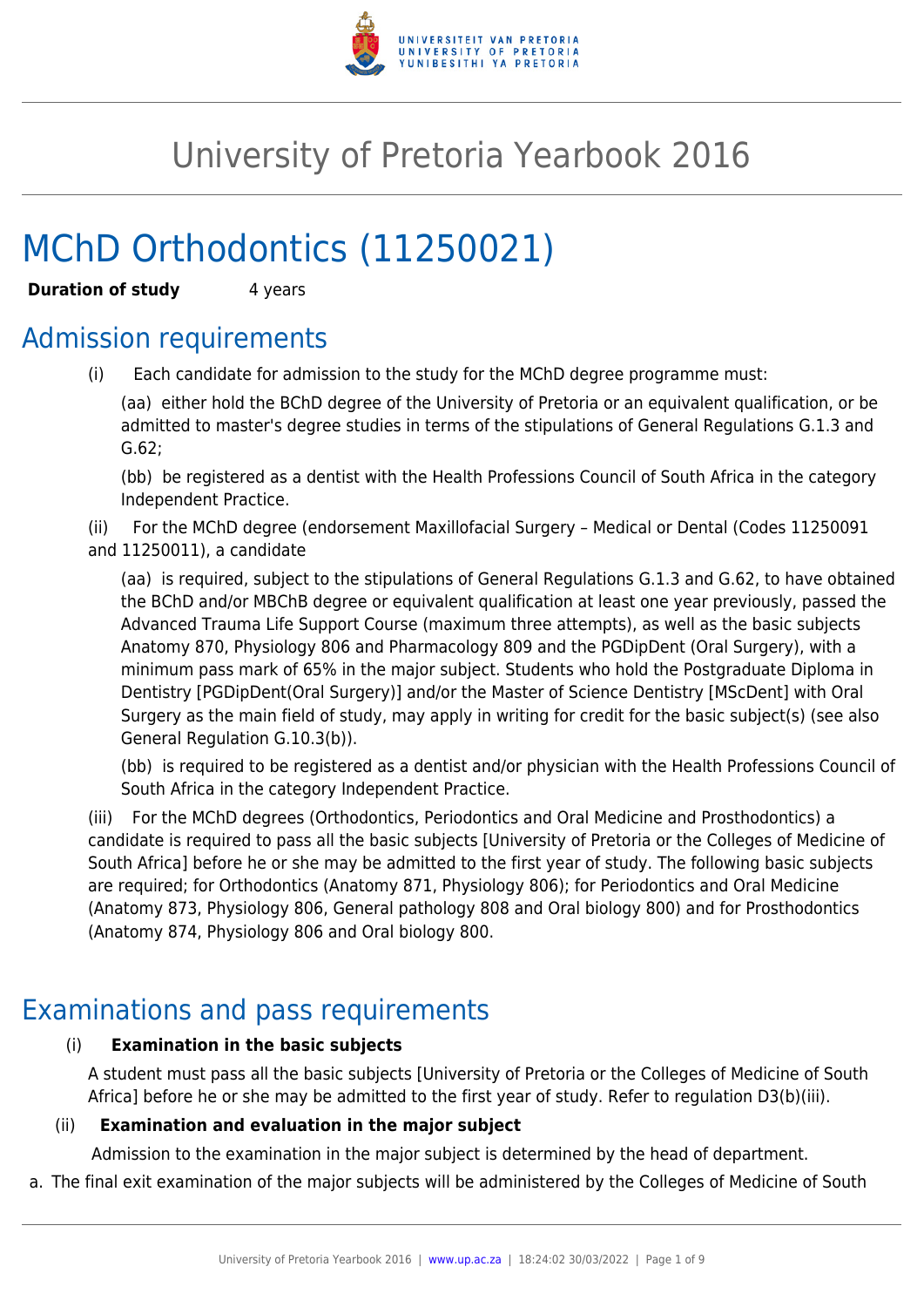

# University of Pretoria Yearbook 2016

# MChD Orthodontics (11250021)

**Duration of study** 4 years

## Admission requirements

(i) Each candidate for admission to the study for the MChD degree programme must:

(aa) either hold the BChD degree of the University of Pretoria or an equivalent qualification, or be admitted to master's degree studies in terms of the stipulations of General Regulations G.1.3 and G.62;

(bb) be registered as a dentist with the Health Professions Council of South Africa in the category Independent Practice.

(ii) For the MChD degree (endorsement Maxillofacial Surgery – Medical or Dental (Codes 11250091 and 11250011), a candidate

(aa) is required, subject to the stipulations of General Regulations G.1.3 and G.62, to have obtained the BChD and/or MBChB degree or equivalent qualification at least one year previously, passed the Advanced Trauma Life Support Course (maximum three attempts), as well as the basic subjects Anatomy 870, Physiology 806 and Pharmacology 809 and the PGDipDent (Oral Surgery), with a minimum pass mark of 65% in the major subject. Students who hold the Postgraduate Diploma in Dentistry [PGDipDent(Oral Surgery)] and/or the Master of Science Dentistry [MScDent] with Oral Surgery as the main field of study, may apply in writing for credit for the basic subject(s) (see also General Regulation G.10.3(b)).

(bb) is required to be registered as a dentist and/or physician with the Health Professions Council of South Africa in the category Independent Practice.

(iii) For the MChD degrees (Orthodontics, Periodontics and Oral Medicine and Prosthodontics) a candidate is required to pass all the basic subjects [University of Pretoria or the Colleges of Medicine of South Africa] before he or she may be admitted to the first year of study. The following basic subjects are required; for Orthodontics (Anatomy 871, Physiology 806); for Periodontics and Oral Medicine (Anatomy 873, Physiology 806, General pathology 808 and Oral biology 800) and for Prosthodontics (Anatomy 874, Physiology 806 and Oral biology 800.

## Examinations and pass requirements

## (i) **Examination in the basic subjects**

A student must pass all the basic subjects [University of Pretoria or the Colleges of Medicine of South Africa] before he or she may be admitted to the first year of study. Refer to regulation D3(b)(iii).

## (ii) **Examination and evaluation in the major subject**

Admission to the examination in the major subject is determined by the head of department.

a. The final exit examination of the major subjects will be administered by the Colleges of Medicine of South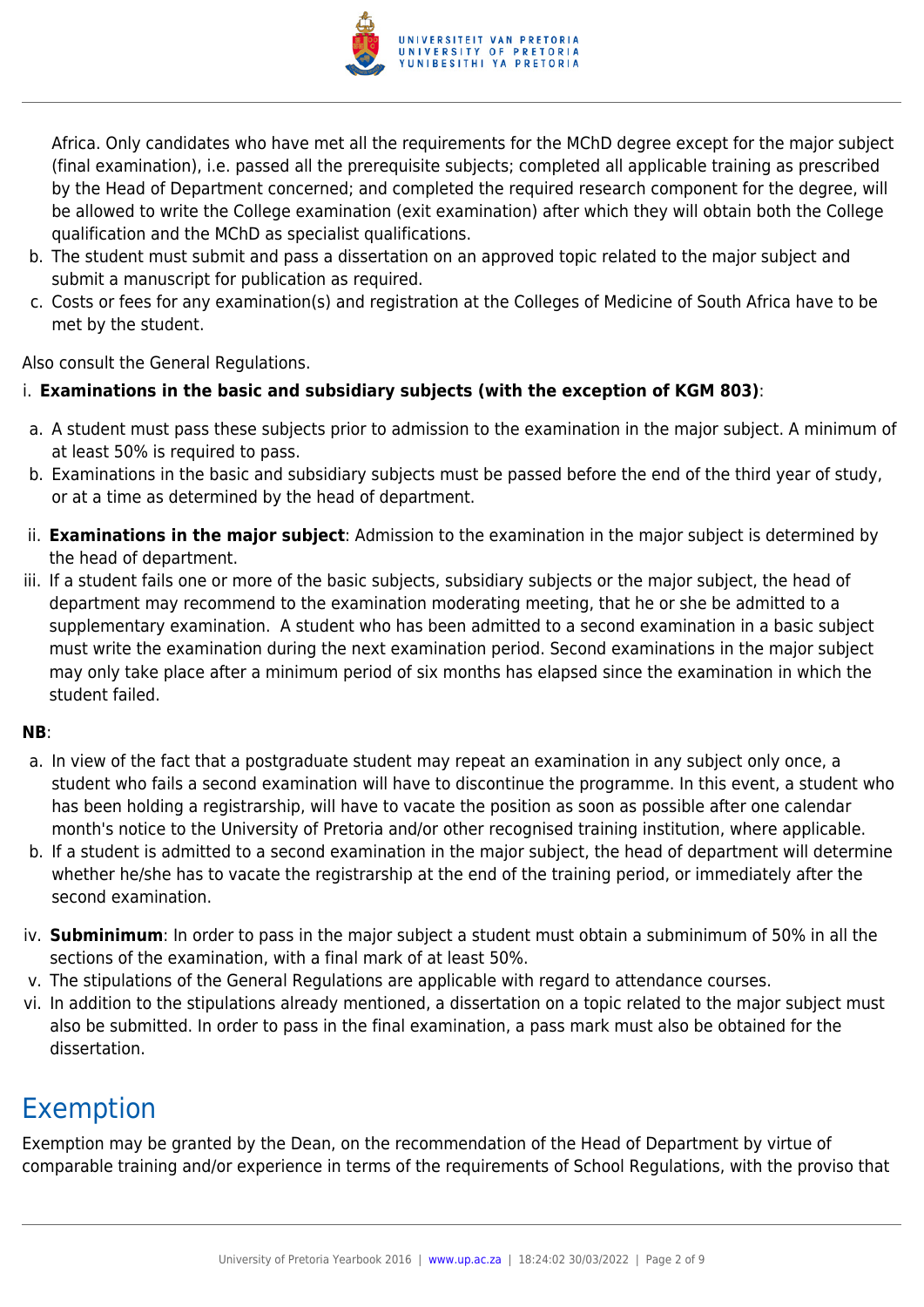

Africa. Only candidates who have met all the requirements for the MChD degree except for the major subject (final examination), i.e. passed all the prerequisite subjects; completed all applicable training as prescribed by the Head of Department concerned; and completed the required research component for the degree, will be allowed to write the College examination (exit examination) after which they will obtain both the College qualification and the MChD as specialist qualifications.

- b. The student must submit and pass a dissertation on an approved topic related to the major subject and submit a manuscript for publication as required.
- c. Costs or fees for any examination(s) and registration at the Colleges of Medicine of South Africa have to be met by the student.

Also consult the General Regulations.

### i. **Examinations in the basic and subsidiary subjects (with the exception of KGM 803)**:

- a. A student must pass these subjects prior to admission to the examination in the major subject. A minimum of at least 50% is required to pass.
- b. Examinations in the basic and subsidiary subjects must be passed before the end of the third year of study, or at a time as determined by the head of department.
- ii. **Examinations in the major subject**: Admission to the examination in the major subject is determined by the head of department.
- iii. If a student fails one or more of the basic subjects, subsidiary subjects or the major subject, the head of department may recommend to the examination moderating meeting, that he or she be admitted to a supplementary examination. A student who has been admitted to a second examination in a basic subject must write the examination during the next examination period. Second examinations in the major subject may only take place after a minimum period of six months has elapsed since the examination in which the student failed.

#### **NB**:

- a. In view of the fact that a postgraduate student may repeat an examination in any subject only once, a student who fails a second examination will have to discontinue the programme. In this event, a student who has been holding a registrarship, will have to vacate the position as soon as possible after one calendar month's notice to the University of Pretoria and/or other recognised training institution, where applicable.
- b. If a student is admitted to a second examination in the major subject, the head of department will determine whether he/she has to vacate the registrarship at the end of the training period, or immediately after the second examination.
- iv. **Subminimum**: In order to pass in the major subject a student must obtain a subminimum of 50% in all the sections of the examination, with a final mark of at least 50%.
- v. The stipulations of the General Regulations are applicable with regard to attendance courses.
- vi. In addition to the stipulations already mentioned, a dissertation on a topic related to the major subject must also be submitted. In order to pass in the final examination, a pass mark must also be obtained for the dissertation.

## Exemption

Exemption may be granted by the Dean, on the recommendation of the Head of Department by virtue of comparable training and/or experience in terms of the requirements of School Regulations, with the proviso that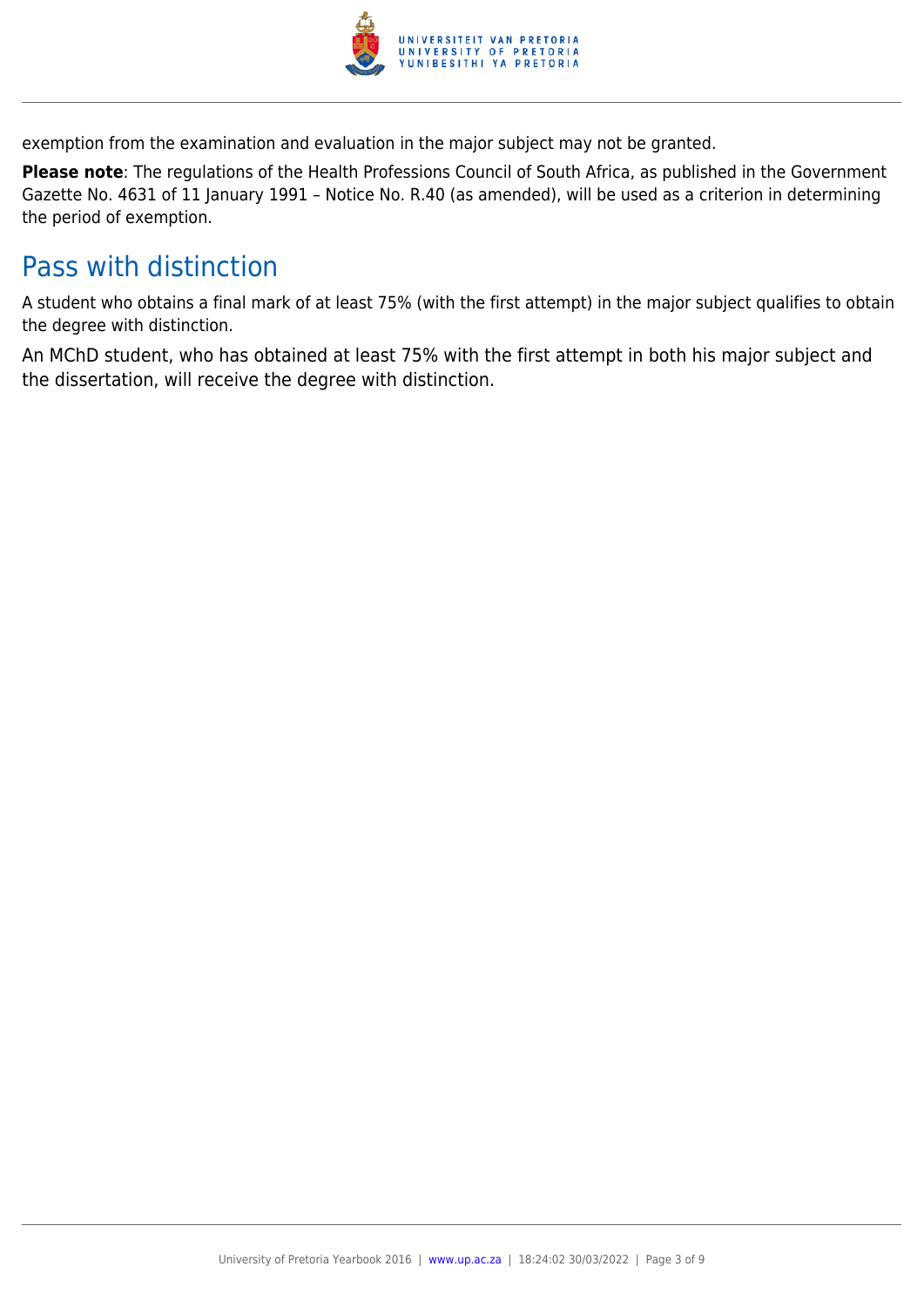

exemption from the examination and evaluation in the major subject may not be granted.

**Please note**: The regulations of the Health Professions Council of South Africa, as published in the Government Gazette No. 4631 of 11 January 1991 – Notice No. R.40 (as amended), will be used as a criterion in determining the period of exemption.

## Pass with distinction

A student who obtains a final mark of at least 75% (with the first attempt) in the major subject qualifies to obtain the degree with distinction.

An MChD student, who has obtained at least 75% with the first attempt in both his major subject and the dissertation, will receive the degree with distinction.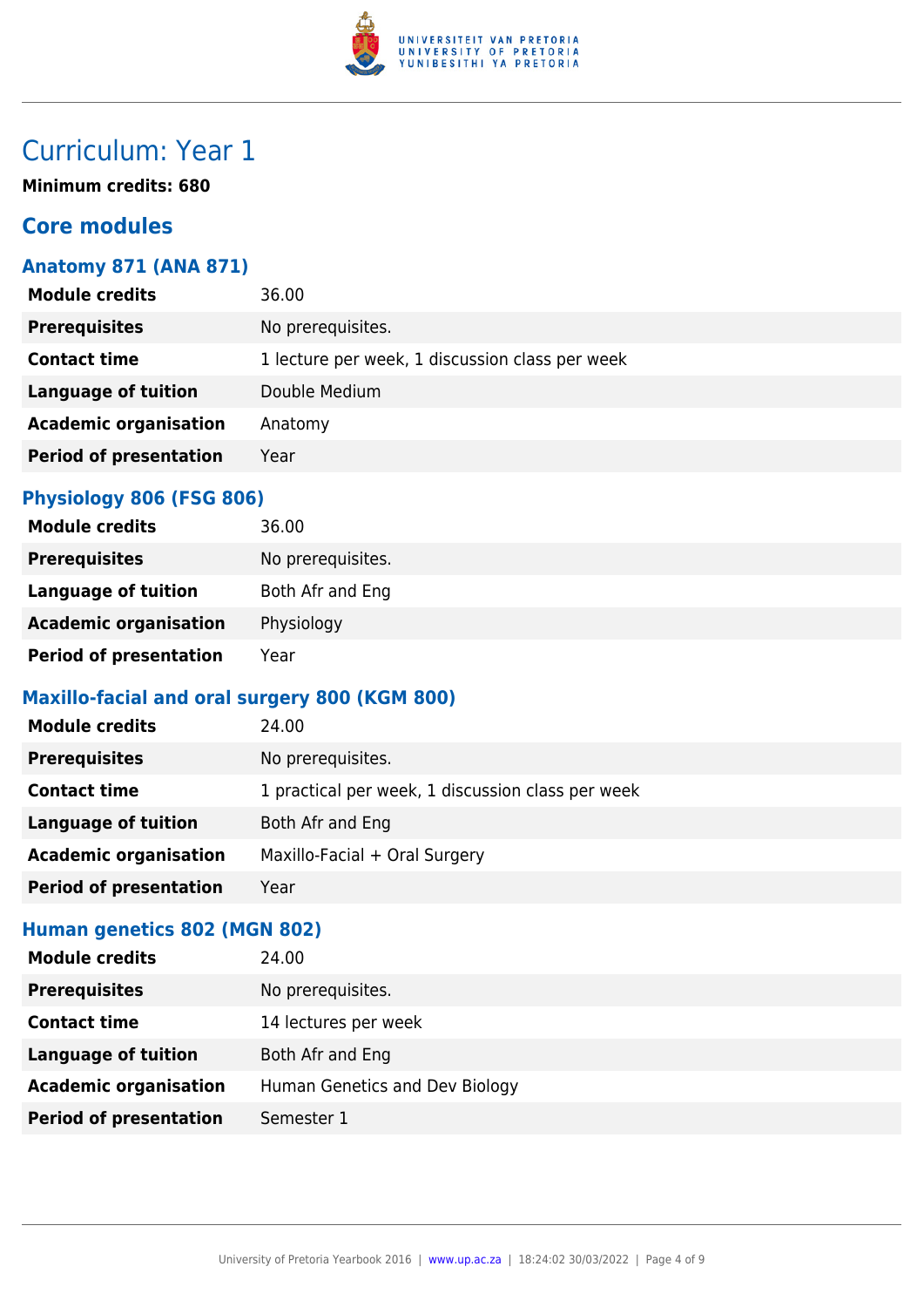

## Curriculum: Year 1

**Minimum credits: 680**

## **Core modules**

## **Anatomy 871 (ANA 871)**

| <b>Module credits</b>         | 36.00                                           |
|-------------------------------|-------------------------------------------------|
| <b>Prerequisites</b>          | No prerequisites.                               |
| <b>Contact time</b>           | 1 lecture per week, 1 discussion class per week |
| <b>Language of tuition</b>    | Double Medium                                   |
| <b>Academic organisation</b>  | Anatomy                                         |
| <b>Period of presentation</b> | Year                                            |
|                               |                                                 |

### **Physiology 806 (FSG 806)**

| <b>Module credits</b>         | 36.00             |
|-------------------------------|-------------------|
| <b>Prerequisites</b>          | No prerequisites. |
| Language of tuition           | Both Afr and Eng  |
| <b>Academic organisation</b>  | Physiology        |
| <b>Period of presentation</b> | Year              |

### **Maxillo-facial and oral surgery 800 (KGM 800)**

| <b>Module credits</b>         | 24.00                                             |
|-------------------------------|---------------------------------------------------|
| <b>Prerequisites</b>          | No prerequisites.                                 |
| <b>Contact time</b>           | 1 practical per week, 1 discussion class per week |
| Language of tuition           | Both Afr and Eng                                  |
| <b>Academic organisation</b>  | Maxillo-Facial + Oral Surgery                     |
| <b>Period of presentation</b> | Year                                              |

### **Human genetics 802 (MGN 802)**

| <b>Module credits</b>         | 24.00                          |
|-------------------------------|--------------------------------|
| <b>Prerequisites</b>          | No prerequisites.              |
| <b>Contact time</b>           | 14 lectures per week           |
| <b>Language of tuition</b>    | Both Afr and Eng               |
| <b>Academic organisation</b>  | Human Genetics and Dev Biology |
| <b>Period of presentation</b> | Semester 1                     |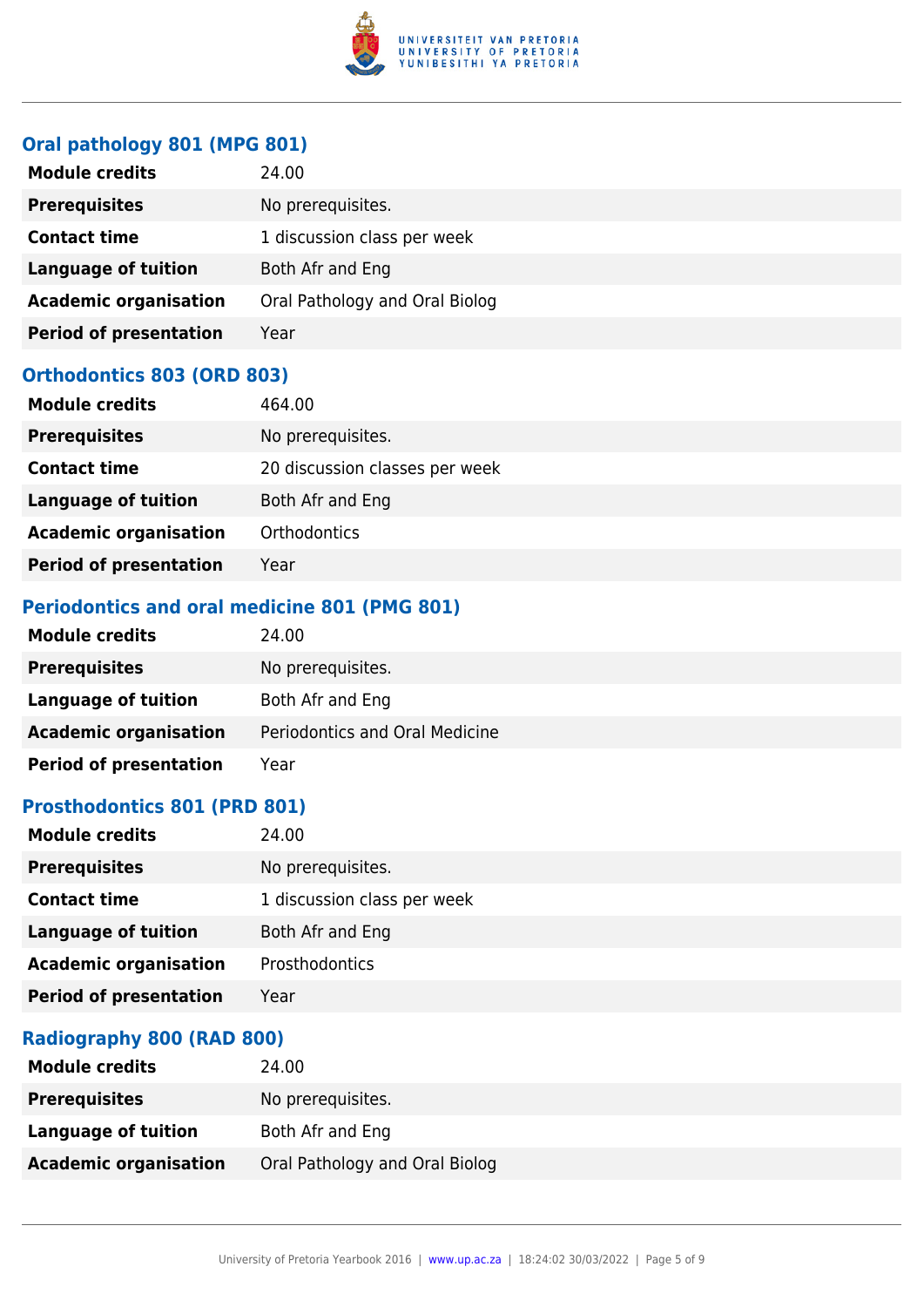

## **Oral pathology 801 (MPG 801)**

| <b>Module credits</b>         | 24.00                          |
|-------------------------------|--------------------------------|
| <b>Prerequisites</b>          | No prerequisites.              |
| <b>Contact time</b>           | 1 discussion class per week    |
| Language of tuition           | Both Afr and Eng               |
| <b>Academic organisation</b>  | Oral Pathology and Oral Biolog |
| <b>Period of presentation</b> | Year                           |

### **Orthodontics 803 (ORD 803)**

| <b>Module credits</b>         | 464.00                         |
|-------------------------------|--------------------------------|
| <b>Prerequisites</b>          | No prerequisites.              |
| <b>Contact time</b>           | 20 discussion classes per week |
| <b>Language of tuition</b>    | Both Afr and Eng               |
| <b>Academic organisation</b>  | <b>Orthodontics</b>            |
| <b>Period of presentation</b> | Year                           |

## **Periodontics and oral medicine 801 (PMG 801)**

| <b>Module credits</b>         | 24.00                          |
|-------------------------------|--------------------------------|
| <b>Prerequisites</b>          | No prerequisites.              |
| Language of tuition           | Both Afr and Eng               |
| <b>Academic organisation</b>  | Periodontics and Oral Medicine |
| <b>Period of presentation</b> | Year                           |

### **Prosthodontics 801 (PRD 801)**

| 24.00                       |
|-----------------------------|
| No prerequisites.           |
| 1 discussion class per week |
| Both Afr and Eng            |
| Prosthodontics              |
| Year                        |
|                             |

## **Radiography 800 (RAD 800)**

| <b>Module credits</b>        | 24.00                          |
|------------------------------|--------------------------------|
| <b>Prerequisites</b>         | No prerequisites.              |
| Language of tuition          | Both Afr and Eng               |
| <b>Academic organisation</b> | Oral Pathology and Oral Biolog |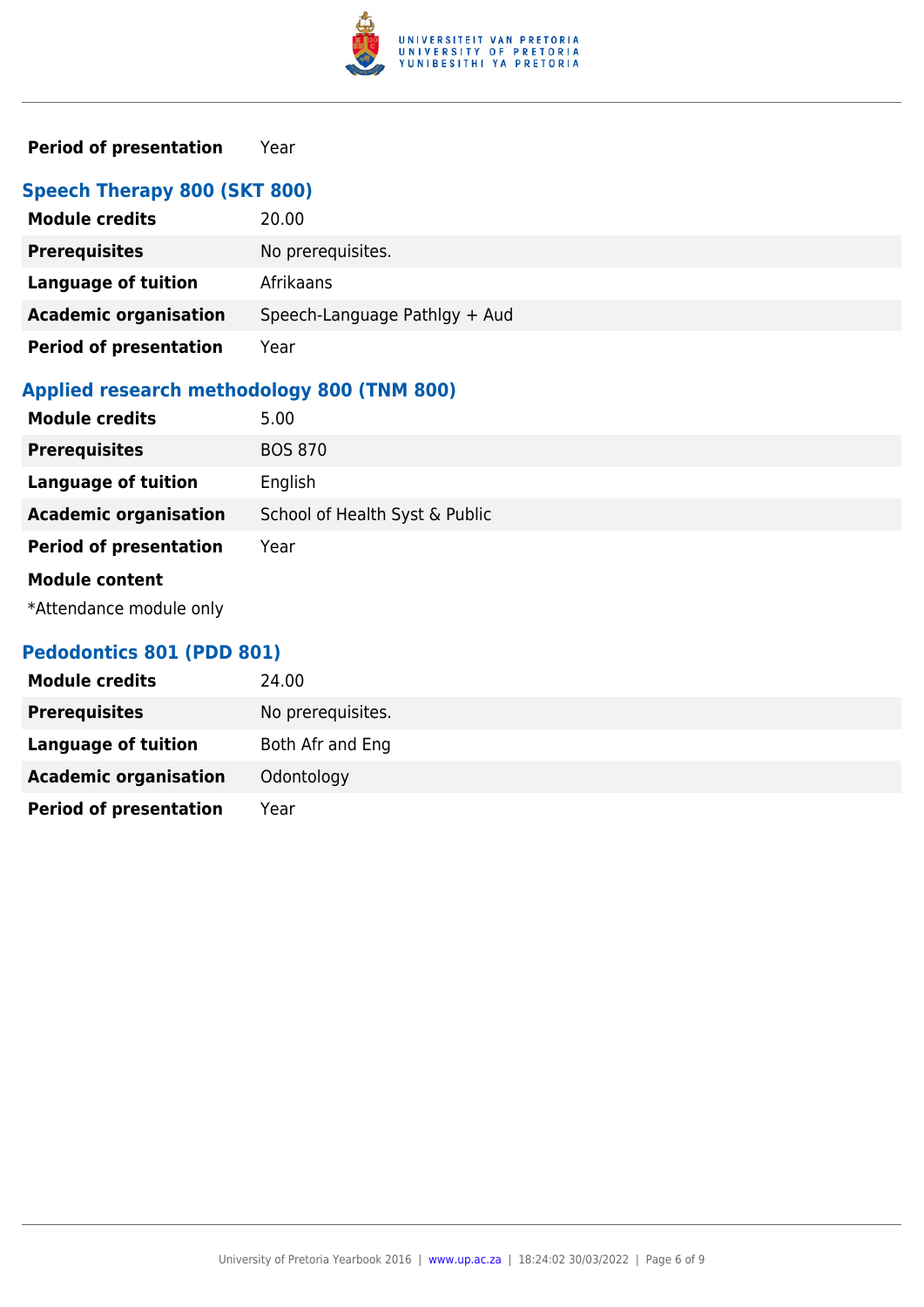

## **Period of presentation** Year

## **Speech Therapy 800 (SKT 800)**

| <b>Module credits</b>         | 20.00                         |
|-------------------------------|-------------------------------|
| <b>Prerequisites</b>          | No prerequisites.             |
| Language of tuition           | Afrikaans                     |
| <b>Academic organisation</b>  | Speech-Language Pathlgy + Aud |
| <b>Period of presentation</b> | Year                          |

## **Applied research methodology 800 (TNM 800)**

| <b>Module credits</b>         | 5.00                           |
|-------------------------------|--------------------------------|
| <b>Prerequisites</b>          | <b>BOS 870</b>                 |
| <b>Language of tuition</b>    | English                        |
| <b>Academic organisation</b>  | School of Health Syst & Public |
| <b>Period of presentation</b> | Year                           |
| <b>Module content</b>         |                                |
| *Attendance module only       |                                |

### **Pedodontics 801 (PDD 801)**

| <b>Module credits</b>         | 24.00             |
|-------------------------------|-------------------|
| <b>Prerequisites</b>          | No prerequisites. |
| Language of tuition           | Both Afr and Eng  |
| <b>Academic organisation</b>  | Odontology        |
| <b>Period of presentation</b> | Year              |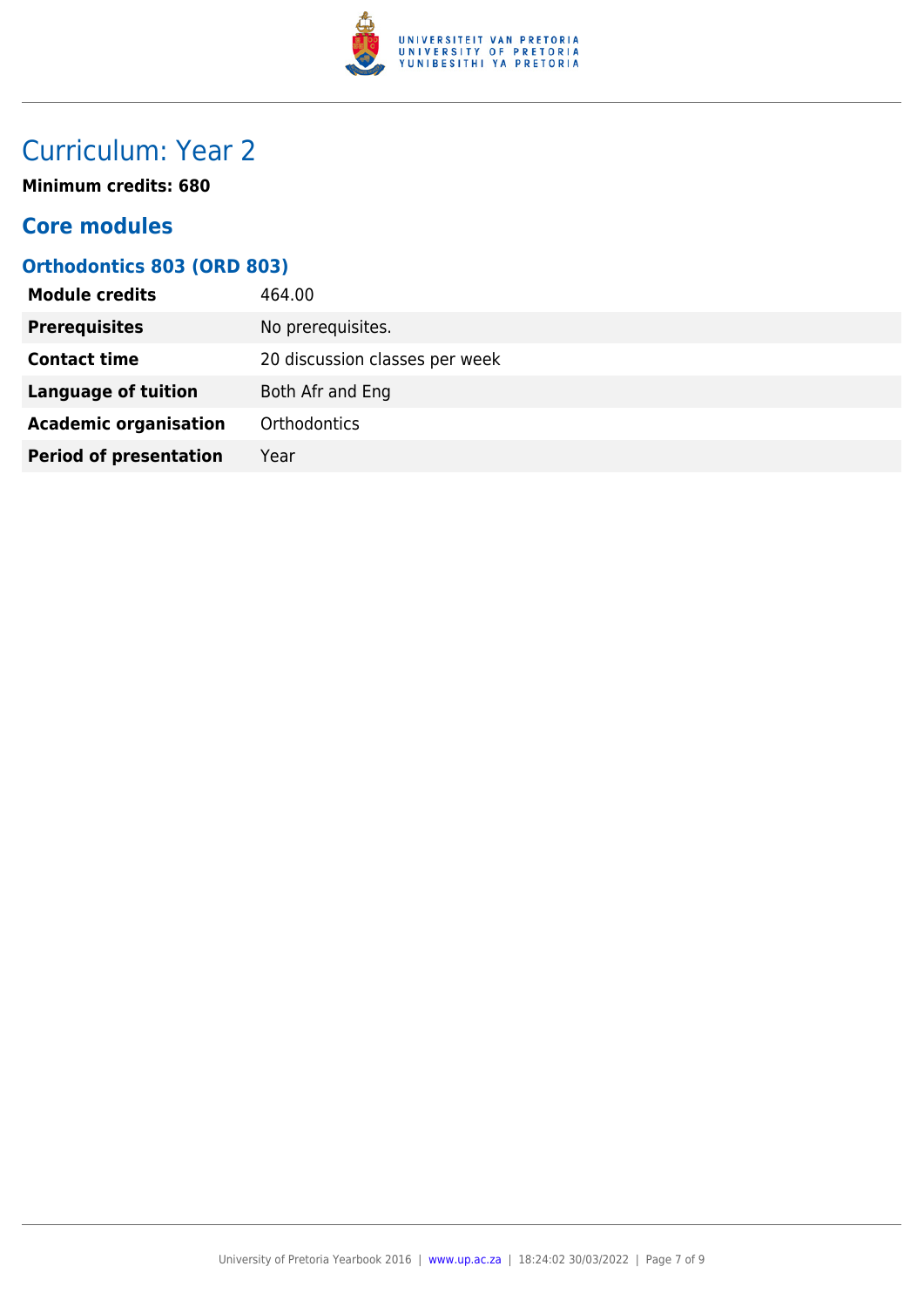

## Curriculum: Year 2

**Minimum credits: 680**

## **Core modules**

## **Orthodontics 803 (ORD 803)**

| <b>Module credits</b>         | 464.00                         |
|-------------------------------|--------------------------------|
| <b>Prerequisites</b>          | No prerequisites.              |
| <b>Contact time</b>           | 20 discussion classes per week |
| <b>Language of tuition</b>    | Both Afr and Eng               |
| <b>Academic organisation</b>  | Orthodontics                   |
| <b>Period of presentation</b> | Year                           |
|                               |                                |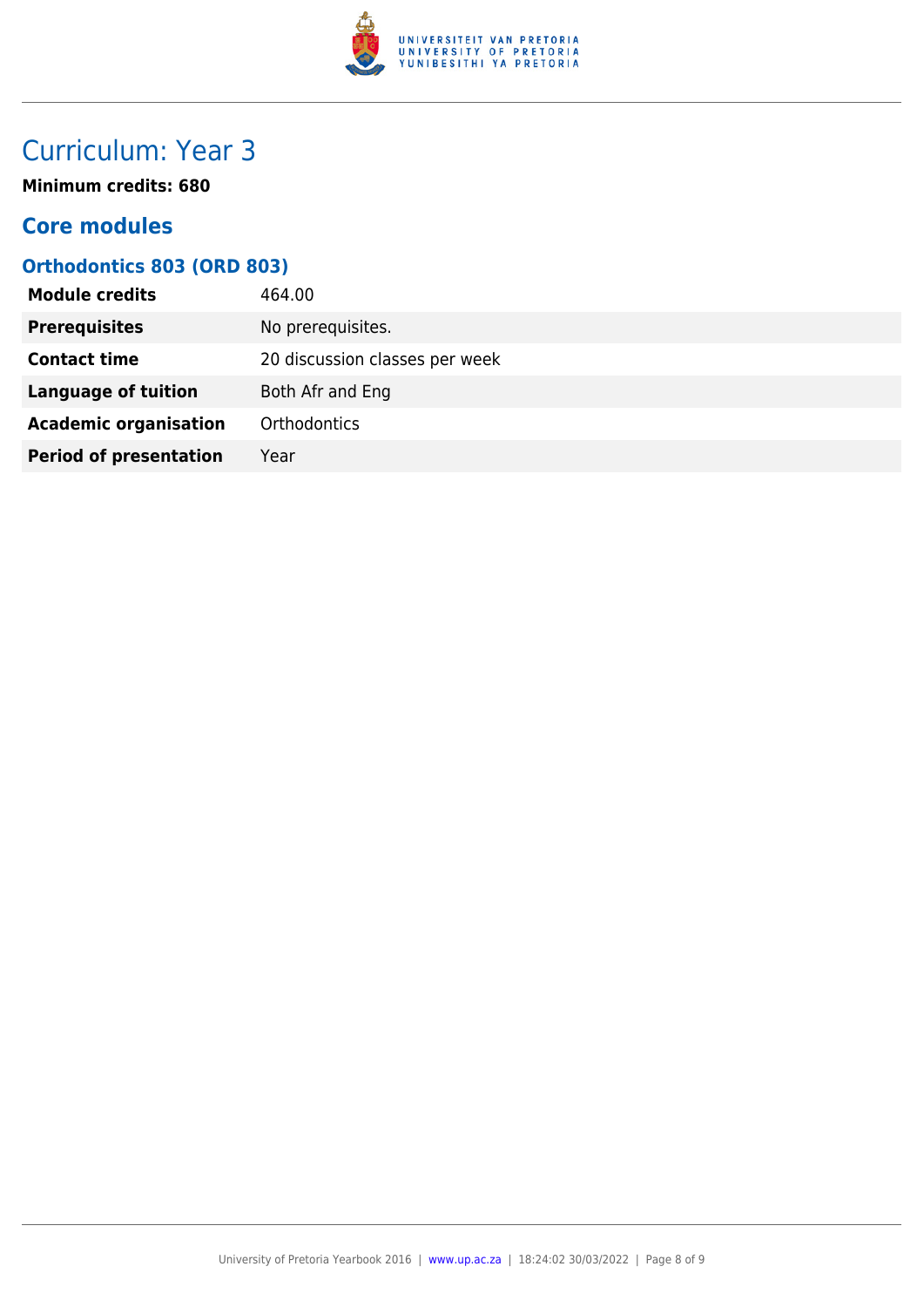

## Curriculum: Year 3

**Minimum credits: 680**

## **Core modules**

## **Orthodontics 803 (ORD 803)**

| <b>Module credits</b>         | 464.00                         |
|-------------------------------|--------------------------------|
| <b>Prerequisites</b>          | No prerequisites.              |
| <b>Contact time</b>           | 20 discussion classes per week |
| <b>Language of tuition</b>    | Both Afr and Eng               |
| <b>Academic organisation</b>  | Orthodontics                   |
| <b>Period of presentation</b> | Year                           |
|                               |                                |